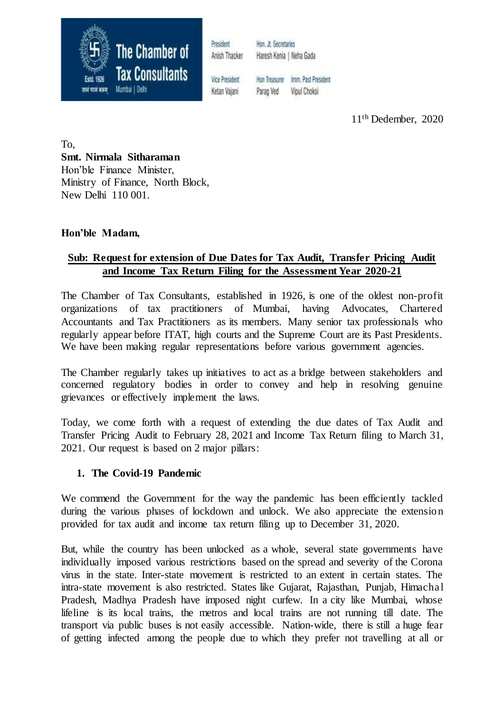

President Anish Thacker Hon. Jt. Secretaries Haresh Kenia | Neha Gada

**Vice President** Ketan Vaiani

Hon Treasurer Imm. Past President Parao Ved Vipul Choksi

11th Dedember, 2020

To, **Smt. Nirmala Sitharaman** Hon'ble Finance Minister, Ministry of Finance, North Block, New Delhi 110 001.

## **Hon'ble Madam,**

# **Sub: Request for extension of Due Dates for Tax Audit, Transfer Pricing Audit and Income Tax Return Filing for the Assessment Year 2020-21**

The Chamber of Tax Consultants, established in 1926, is one of the oldest non-profit organizations of tax practitioners of Mumbai, having Advocates, Chartered Accountants and Tax Practitioners as its members. Many senior tax professionals who regularly appear before ITAT, high courts and the Supreme Court are its Past Presidents. We have been making regular representations before various government agencies.

The Chamber regularly takes up initiatives to act as a bridge between stakeholders and concerned regulatory bodies in order to convey and help in resolving genuine grievances or effectively implement the laws.

Today, we come forth with a request of extending the due dates of Tax Audit and Transfer Pricing Audit to February 28, 2021 and Income Tax Return filing to March 31, 2021. Our request is based on 2 major pillars:

#### **1. The Covid-19 Pandemic**

We commend the Government for the way the pandemic has been efficiently tackled during the various phases of lockdown and unlock. We also appreciate the extension provided for tax audit and income tax return filing up to December 31, 2020.

But, while the country has been unlocked as a whole, several state governments have individually imposed various restrictions based on the spread and severity of the Corona virus in the state. Inter-state movement is restricted to an extent in certain states. The intra-state movement is also restricted. States like Gujarat, Rajasthan, Punjab, Himachal Pradesh, Madhya Pradesh have imposed night curfew. In a city like Mumbai, whose lifeline is its local trains, the metros and local trains are not running till date. The transport via public buses is not easily accessible. Nation-wide, there is still a huge fear of getting infected among the people due to which they prefer not travelling at all or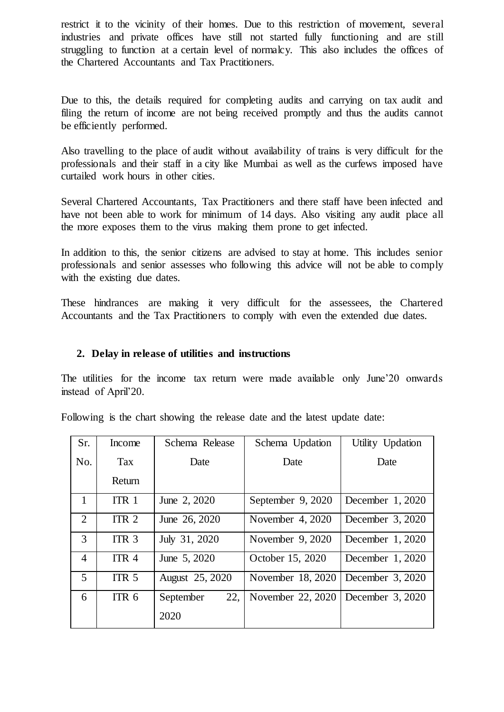restrict it to the vicinity of their homes. Due to this restriction of movement, several industries and private offices have still not started fully functioning and are still struggling to function at a certain level of normalcy. This also includes the offices of the Chartered Accountants and Tax Practitioners.

Due to this, the details required for completing audits and carrying on tax audit and filing the return of income are not being received promptly and thus the audits cannot be efficiently performed.

Also travelling to the place of audit without availability of trains is very difficult for the professionals and their staff in a city like Mumbai as well as the curfews imposed have curtailed work hours in other cities.

Several Chartered Accountants, Tax Practitioners and there staff have been infected and have not been able to work for minimum of 14 days. Also visiting any audit place all the more exposes them to the virus making them prone to get infected.

In addition to this, the senior citizens are advised to stay at home. This includes senior professionals and senior assesses who following this advice will not be able to comply with the existing due dates.

These hindrances are making it very difficult for the assessees, the Chartered Accountants and the Tax Practitioners to comply with even the extended due dates.

## **2. Delay in release of utilities and instructions**

The utilities for the income tax return were made available only June'20 onwards instead of April'20.

Following is the chart showing the release date and the latest update date:

| Sr.            | Income           | Schema Release   | Schema Updation   | Utility Updation |
|----------------|------------------|------------------|-------------------|------------------|
| No.            | Tax              | Date             | Date              | Date             |
|                | Return           |                  |                   |                  |
| $\mathbf{1}$   | ITR <sub>1</sub> | June 2, 2020     | September 9, 2020 | December 1, 2020 |
| 2              | ITR <sub>2</sub> | June 26, 2020    | November 4, 2020  | December 3, 2020 |
| 3              | ITR <sub>3</sub> | July 31, 2020    | November 9, 2020  | December 1, 2020 |
| $\overline{4}$ | ITR <sub>4</sub> | June 5, 2020     | October 15, 2020  | December 1, 2020 |
| $\overline{5}$ | ITR <sub>5</sub> | August 25, 2020  | November 18, 2020 | December 3, 2020 |
| 6              | ITR <sub>6</sub> | 22.<br>September | November 22, 2020 | December 3, 2020 |
|                |                  | 2020             |                   |                  |